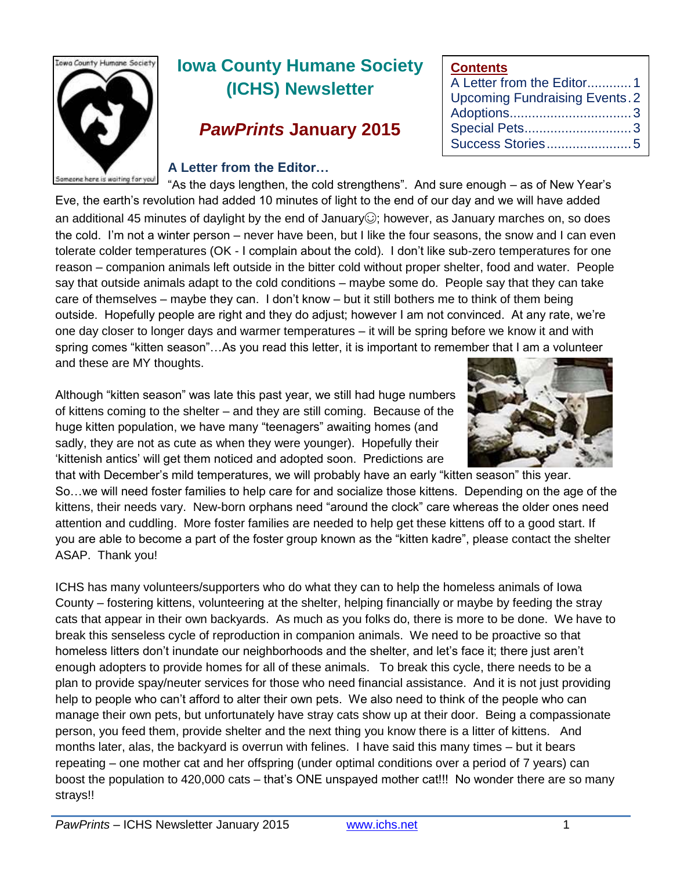

# **Iowa County Humane Society (ICHS) Newsletter**

# *PawPrints* **January 2015**

#### **A Letter from the Editor…**

"As the days lengthen, the cold strengthens". And sure enough – as of New Year's Eve, the earth's revolution had added 10 minutes of light to the end of our day and we will have added an additional 45 minutes of daylight by the end of January $\odot$ ; however, as January marches on, so does the cold. I'm not a winter person – never have been, but I like the four seasons, the snow and I can even tolerate colder temperatures (OK - I complain about the cold). I don't like sub-zero temperatures for one reason – companion animals left outside in the bitter cold without proper shelter, food and water. People say that outside animals adapt to the cold conditions – maybe some do. People say that they can take care of themselves – maybe they can. I don't know – but it still bothers me to think of them being outside. Hopefully people are right and they do adjust; however I am not convinced. At any rate, we're one day closer to longer days and warmer temperatures – it will be spring before we know it and with spring comes "kitten season"…As you read this letter, it is important to remember that I am a volunteer and these are MY thoughts.

Although "kitten season" was late this past year, we still had huge numbers of kittens coming to the shelter – and they are still coming. Because of the huge kitten population, we have many "teenagers" awaiting homes (and sadly, they are not as cute as when they were younger). Hopefully their 'kittenish antics' will get them noticed and adopted soon. Predictions are



ICHS has many volunteers/supporters who do what they can to help the homeless animals of Iowa County – fostering kittens, volunteering at the shelter, helping financially or maybe by feeding the stray cats that appear in their own backyards. As much as you folks do, there is more to be done. We have to break this senseless cycle of reproduction in companion animals. We need to be proactive so that homeless litters don't inundate our neighborhoods and the shelter, and let's face it; there just aren't enough adopters to provide homes for all of these animals. To break this cycle, there needs to be a plan to provide spay/neuter services for those who need financial assistance. And it is not just providing help to people who can't afford to alter their own pets. We also need to think of the people who can manage their own pets, but unfortunately have stray cats show up at their door. Being a compassionate person, you feed them, provide shelter and the next thing you know there is a litter of kittens. And months later, alas, the backyard is overrun with felines. I have said this many times – but it bears repeating – one mother cat and her offspring (under optimal conditions over a period of 7 years) can boost the population to 420,000 cats – that's ONE unspayed mother cat!!! No wonder there are so many strays!!



**Contents**

A Letter from the Editor............1 Upcoming Fundraising Events.2 Adoptions.................................3 Special Pets.............................3 Success Stories.......................5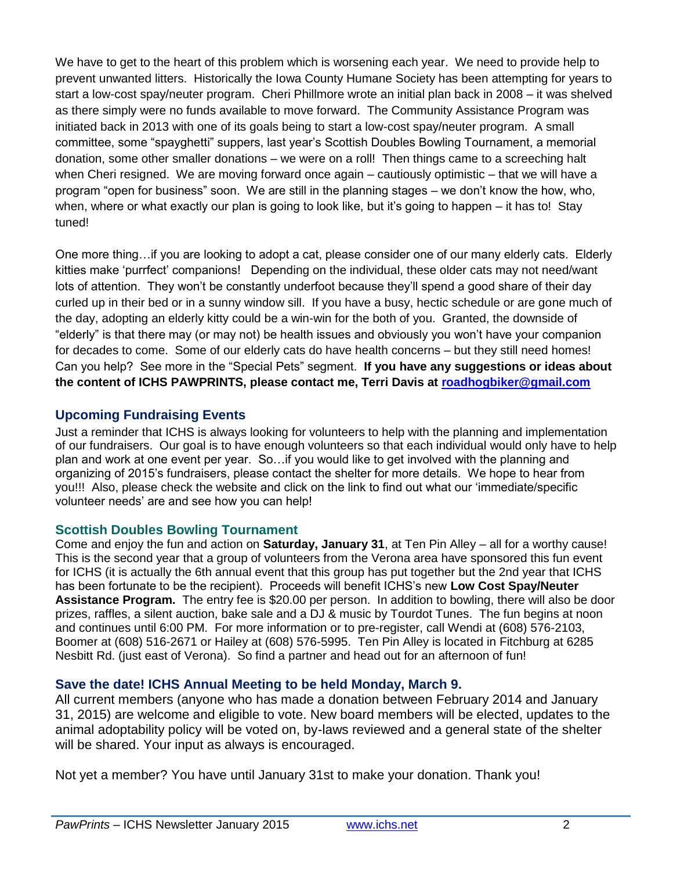We have to get to the heart of this problem which is worsening each year. We need to provide help to prevent unwanted litters. Historically the Iowa County Humane Society has been attempting for years to start a low-cost spay/neuter program. Cheri Phillmore wrote an initial plan back in 2008 – it was shelved as there simply were no funds available to move forward. The Community Assistance Program was initiated back in 2013 with one of its goals being to start a low-cost spay/neuter program. A small committee, some "spayghetti" suppers, last year's Scottish Doubles Bowling Tournament, a memorial donation, some other smaller donations – we were on a roll! Then things came to a screeching halt when Cheri resigned. We are moving forward once again – cautiously optimistic – that we will have a program "open for business" soon. We are still in the planning stages – we don't know the how, who, when, where or what exactly our plan is going to look like, but it's going to happen – it has to! Stay tuned!

One more thing…if you are looking to adopt a cat, please consider one of our many elderly cats. Elderly kitties make 'purrfect' companions! Depending on the individual, these older cats may not need/want lots of attention. They won't be constantly underfoot because they'll spend a good share of their day curled up in their bed or in a sunny window sill. If you have a busy, hectic schedule or are gone much of the day, adopting an elderly kitty could be a win-win for the both of you. Granted, the downside of "elderly" is that there may (or may not) be health issues and obviously you won't have your companion for decades to come. Some of our elderly cats do have health concerns – but they still need homes! Can you help? See more in the "Special Pets" segment. **If you have any suggestions or ideas about the content of ICHS PAWPRINTS, please contact me, Terri Davis at [roadhogbiker@gmail.com](mailto:roadhogbiker@gmail.com)**

# **Upcoming Fundraising Events**

Just a reminder that ICHS is always looking for volunteers to help with the planning and implementation of our fundraisers. Our goal is to have enough volunteers so that each individual would only have to help plan and work at one event per year. So…if you would like to get involved with the planning and organizing of 2015's fundraisers, please contact the shelter for more details. We hope to hear from you!!! Also, please check the website and click on the link to find out what our 'immediate/specific volunteer needs' are and see how you can help!

## **Scottish Doubles Bowling Tournament**

Come and enjoy the fun and action on **Saturday, January 31**, at Ten Pin Alley – all for a worthy cause! This is the second year that a group of volunteers from the Verona area have sponsored this fun event for ICHS (it is actually the 6th annual event that this group has put together but the 2nd year that ICHS has been fortunate to be the recipient). Proceeds will benefit ICHS's new **Low Cost Spay/Neuter Assistance Program.** The entry fee is \$20.00 per person. In addition to bowling, there will also be door prizes, raffles, a silent auction, bake sale and a DJ & music by Tourdot Tunes. The fun begins at noon and continues until 6:00 PM. For more information or to pre-register, call Wendi at (608) 576-2103, Boomer at (608) 516-2671 or Hailey at (608) 576-5995. Ten Pin Alley is located in Fitchburg at 6285 Nesbitt Rd. (just east of Verona). So find a partner and head out for an afternoon of fun!

## **Save the date! ICHS Annual Meeting to be held Monday, March 9.**

All current members (anyone who has made a donation between February 2014 and January 31, 2015) are welcome and eligible to vote. New board members will be elected, updates to the animal adoptability policy will be voted on, by-laws reviewed and a general state of the shelter will be shared. Your input as always is encouraged.

Not yet a member? You have until January 31st to make your donation. Thank you!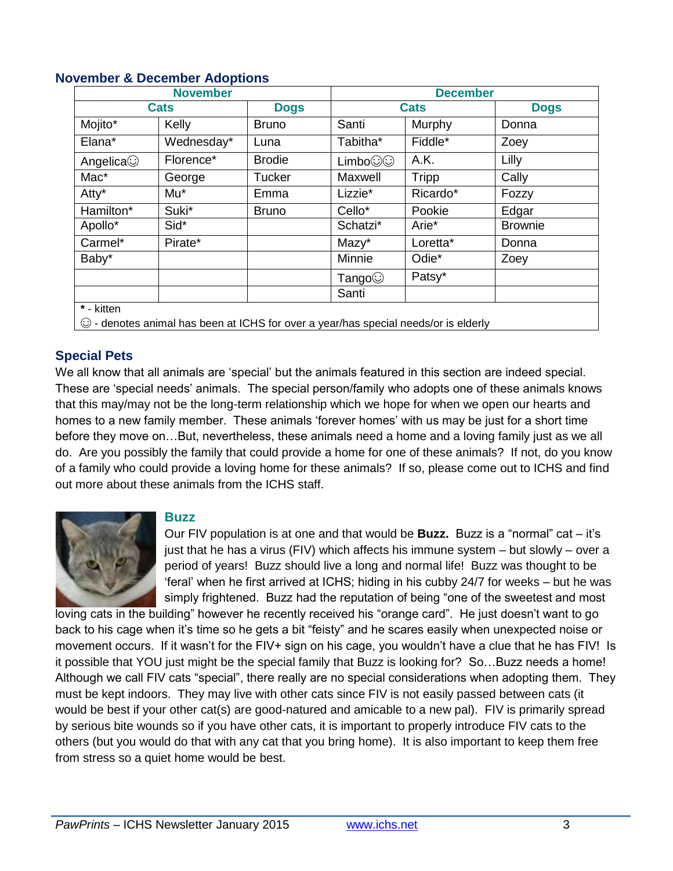| <b>November</b>                  |            |               | <b>December</b> |                                                                                           |                |
|----------------------------------|------------|---------------|-----------------|-------------------------------------------------------------------------------------------|----------------|
| <b>Cats</b>                      |            | <b>Dogs</b>   | <b>Cats</b>     |                                                                                           | <b>Dogs</b>    |
| Mojito*                          | Kelly      | <b>Bruno</b>  | Santi           | Murphy                                                                                    | Donna          |
| Elana*                           | Wednesday* | Luna          | Tabitha*        | Fiddle*                                                                                   | Zoey           |
| Angelica                         | Florence*  | <b>Brodie</b> | Limbo@@         | A.K.                                                                                      | Lilly          |
| Mac*                             | George     | <b>Tucker</b> | Maxwell         | Tripp                                                                                     | Cally          |
| Atty*                            | Mu*        | Emma          | Lizzie*         | Ricardo*                                                                                  | Fozzy          |
| Hamilton*                        | Suki*      | <b>Bruno</b>  | Cello*          | Pookie                                                                                    | Edgar          |
| Apollo*                          | Sid*       |               | Schatzi*        | Arie*                                                                                     | <b>Brownie</b> |
| Carmel*                          | Pirate*    |               | Mazy*           | Loretta*                                                                                  | Donna          |
| Baby*                            |            |               | Minnie          | Odie*                                                                                     | Zoey           |
|                                  |            |               | Tango $\odot$   | Patsy*                                                                                    |                |
|                                  |            |               | Santi           |                                                                                           |                |
| $\overline{\mathbf{r}}$ - kitten |            |               |                 |                                                                                           |                |
|                                  |            |               |                 | $\odot$ - denotes animal has been at ICHS for over a year/has special needs/or is elderly |                |

#### **November & December Adoptions**

#### **Special Pets**

We all know that all animals are 'special' but the animals featured in this section are indeed special. These are 'special needs' animals. The special person/family who adopts one of these animals knows that this may/may not be the long-term relationship which we hope for when we open our hearts and homes to a new family member. These animals 'forever homes' with us may be just for a short time before they move on…But, nevertheless, these animals need a home and a loving family just as we all do. Are you possibly the family that could provide a home for one of these animals? If not, do you know of a family who could provide a loving home for these animals? If so, please come out to ICHS and find out more about these animals from the ICHS staff.



#### **Buzz**

Our FIV population is at one and that would be **Buzz.** Buzz is a "normal" cat – it's just that he has a virus (FIV) which affects his immune system – but slowly – over a period of years! Buzz should live a long and normal life! Buzz was thought to be 'feral' when he first arrived at ICHS; hiding in his cubby 24/7 for weeks – but he was simply frightened. Buzz had the reputation of being "one of the sweetest and most

loving cats in the building" however he recently received his "orange card". He just doesn't want to go back to his cage when it's time so he gets a bit "feisty" and he scares easily when unexpected noise or movement occurs. If it wasn't for the FIV+ sign on his cage, you wouldn't have a clue that he has FIV! Is it possible that YOU just might be the special family that Buzz is looking for? So…Buzz needs a home! Although we call FIV cats "special", there really are no special considerations when adopting them. They must be kept indoors. They may live with other cats since FIV is not easily passed between cats (it would be best if your other cat(s) are good-natured and amicable to a new pal). FIV is primarily spread by serious bite wounds so if you have other cats, it is important to properly introduce FIV cats to the others (but you would do that with any cat that you bring home). It is also important to keep them free from stress so a quiet home would be best.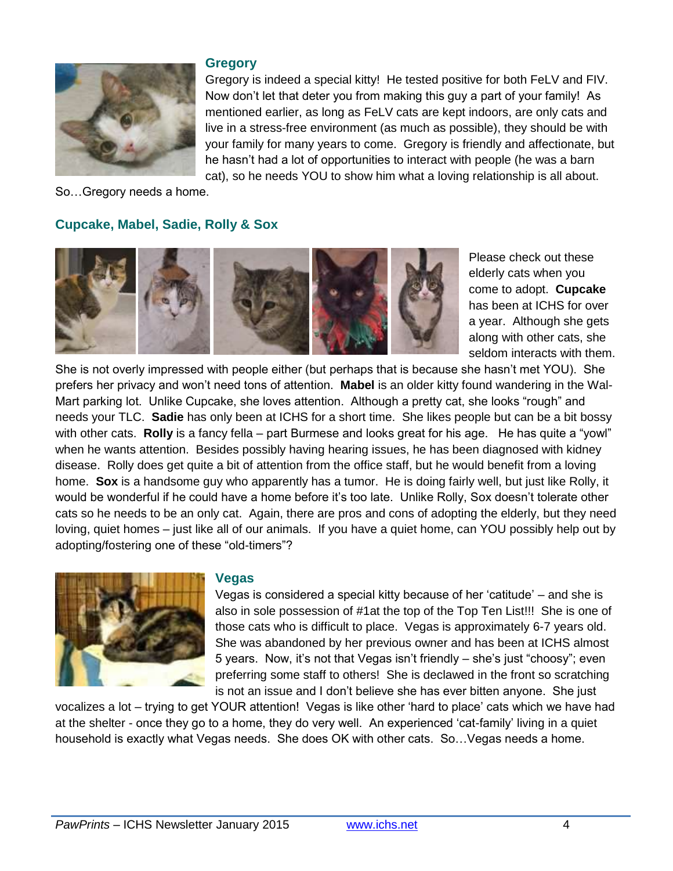

#### **Gregory**

Gregory is indeed a special kitty! He tested positive for both FeLV and FIV. Now don't let that deter you from making this guy a part of your family! As mentioned earlier, as long as FeLV cats are kept indoors, are only cats and live in a stress-free environment (as much as possible), they should be with your family for many years to come. Gregory is friendly and affectionate, but he hasn't had a lot of opportunities to interact with people (he was a barn cat), so he needs YOU to show him what a loving relationship is all about.

So…Gregory needs a home.

#### **Cupcake, Mabel, Sadie, Rolly & Sox**



Please check out these elderly cats when you come to adopt. **Cupcake** has been at ICHS for over a year. Although she gets along with other cats, she seldom interacts with them.

She is not overly impressed with people either (but perhaps that is because she hasn't met YOU). She prefers her privacy and won't need tons of attention. **Mabel** is an older kitty found wandering in the Wal-Mart parking lot. Unlike Cupcake, she loves attention. Although a pretty cat, she looks "rough" and needs your TLC. **Sadie** has only been at ICHS for a short time. She likes people but can be a bit bossy with other cats. **Rolly** is a fancy fella – part Burmese and looks great for his age. He has quite a "yowl" when he wants attention. Besides possibly having hearing issues, he has been diagnosed with kidney disease. Rolly does get quite a bit of attention from the office staff, but he would benefit from a loving home. **Sox** is a handsome guy who apparently has a tumor. He is doing fairly well, but just like Rolly, it would be wonderful if he could have a home before it's too late. Unlike Rolly, Sox doesn't tolerate other cats so he needs to be an only cat. Again, there are pros and cons of adopting the elderly, but they need loving, quiet homes – just like all of our animals. If you have a quiet home, can YOU possibly help out by adopting/fostering one of these "old-timers"?



#### **Vegas**

Vegas is considered a special kitty because of her 'catitude' – and she is also in sole possession of #1at the top of the Top Ten List!!! She is one of those cats who is difficult to place. Vegas is approximately 6-7 years old. She was abandoned by her previous owner and has been at ICHS almost 5 years. Now, it's not that Vegas isn't friendly – she's just "choosy"; even preferring some staff to others! She is declawed in the front so scratching is not an issue and I don't believe she has ever bitten anyone. She just

vocalizes a lot – trying to get YOUR attention! Vegas is like other 'hard to place' cats which we have had at the shelter - once they go to a home, they do very well. An experienced 'cat-family' living in a quiet household is exactly what Vegas needs. She does OK with other cats. So…Vegas needs a home.